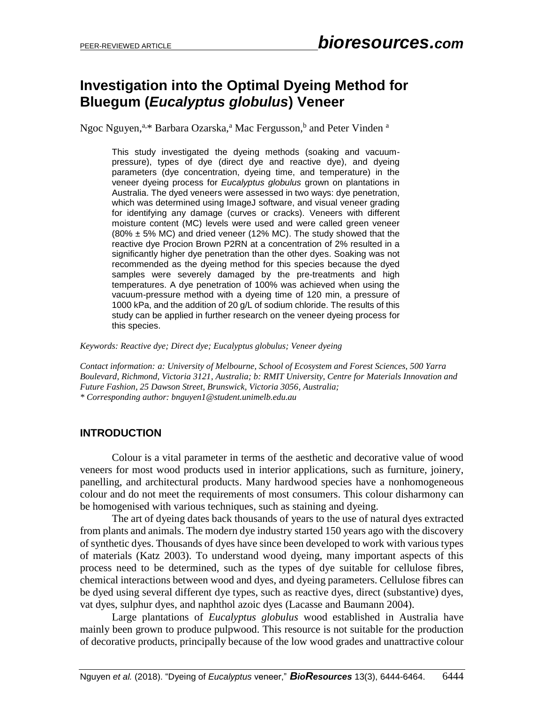## **Investigation into the Optimal Dyeing Method for Bluegum (***Eucalyptus globulus***) Veneer**

Ngoc Nguyen,<sup>a,\*</sup> Barbara Ozarska,<sup>a</sup> Mac Fergusson,<sup>b</sup> and Peter Vinden <sup>a</sup>

This study investigated the dyeing methods (soaking and vacuumpressure), types of dye (direct dye and reactive dye), and dyeing parameters (dye concentration, dyeing time, and temperature) in the veneer dyeing process for *Eucalyptus globulus* grown on plantations in Australia. The dyed veneers were assessed in two ways: dye penetration, which was determined using ImageJ software, and visual veneer grading for identifying any damage (curves or cracks). Veneers with different moisture content (MC) levels were used and were called green veneer  $(80\% \pm 5\% \text{ MC})$  and dried veneer (12% MC). The study showed that the reactive dye Procion Brown P2RN at a concentration of 2% resulted in a significantly higher dye penetration than the other dyes. Soaking was not recommended as the dyeing method for this species because the dyed samples were severely damaged by the pre-treatments and high temperatures. A dye penetration of 100% was achieved when using the vacuum-pressure method with a dyeing time of 120 min, a pressure of 1000 kPa, and the addition of 20 g/L of sodium chloride. The results of this study can be applied in further research on the veneer dyeing process for this species.

*Keywords: Reactive dye; Direct dye; Eucalyptus globulus; Veneer dyeing*

*Contact information: a: University of Melbourne, School of Ecosystem and Forest Sciences, 500 Yarra Boulevard, Richmond, Victoria 3121, Australia; b: RMIT University, Centre for Materials Innovation and Future Fashion, 25 Dawson Street, Brunswick, Victoria 3056, Australia; \* Corresponding author: bnguyen1@student.unimelb.edu.au*

### **INTRODUCTION**

Colour is a vital parameter in terms of the aesthetic and decorative value of wood veneers for most wood products used in interior applications, such as furniture, joinery, panelling, and architectural products. Many hardwood species have a nonhomogeneous colour and do not meet the requirements of most consumers. This colour disharmony can be homogenised with various techniques, such as staining and dyeing.

The art of dyeing dates back thousands of years to the use of natural dyes extracted from plants and animals. The modern dye industry started 150 years ago with the discovery of synthetic dyes. Thousands of dyes have since been developed to work with various types of materials (Katz 2003). To understand wood dyeing, many important aspects of this process need to be determined, such as the types of dye suitable for cellulose fibres, chemical interactions between wood and dyes, and dyeing parameters. Cellulose fibres can be dyed using several different dye types, such as reactive dyes, direct (substantive) dyes, vat dyes, sulphur dyes, and naphthol azoic dyes (Lacasse and Baumann 2004).

Large plantations of *Eucalyptus globulus* wood established in Australia have mainly been grown to produce pulpwood. This resource is not suitable for the production of decorative products, principally because of the low wood grades and unattractive colour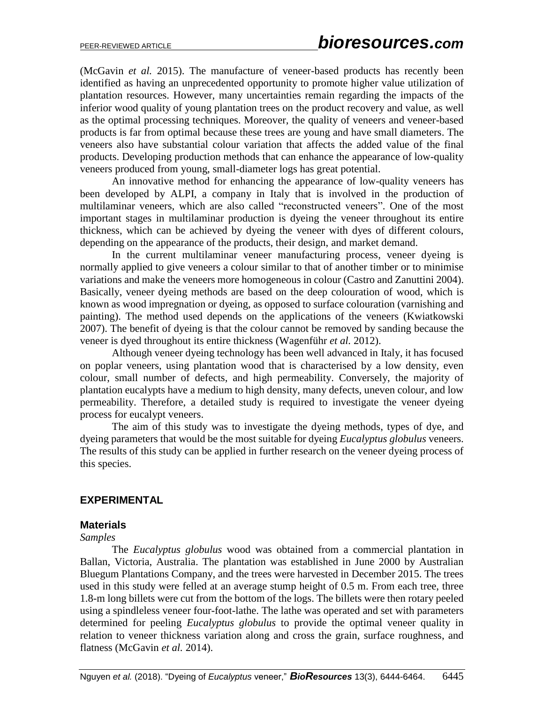(McGavin *et al.* 2015). The manufacture of veneer-based products has recently been identified as having an unprecedented opportunity to promote higher value utilization of plantation resources. However, many uncertainties remain regarding the impacts of the inferior wood quality of young plantation trees on the product recovery and value, as well as the optimal processing techniques. Moreover, the quality of veneers and veneer-based products is far from optimal because these trees are young and have small diameters. The veneers also have substantial colour variation that affects the added value of the final products. Developing production methods that can enhance the appearance of low-quality veneers produced from young, small-diameter logs has great potential.

An innovative method for enhancing the appearance of low-quality veneers has been developed by ALPI, a company in Italy that is involved in the production of multilaminar veneers, which are also called "reconstructed veneers". One of the most important stages in multilaminar production is dyeing the veneer throughout its entire thickness, which can be achieved by dyeing the veneer with dyes of different colours, depending on the appearance of the products, their design, and market demand.

In the current multilaminar veneer manufacturing process, veneer dyeing is normally applied to give veneers a colour similar to that of another timber or to minimise variations and make the veneers more homogeneous in colour (Castro and Zanuttini 2004). Basically, veneer dyeing methods are based on the deep colouration of wood, which is known as wood impregnation or dyeing, as opposed to surface colouration (varnishing and painting). The method used depends on the applications of the veneers (Kwiatkowski 2007). The benefit of dyeing is that the colour cannot be removed by sanding because the veneer is dyed throughout its entire thickness (Wagenführ *et al.* 2012).

Although veneer dyeing technology has been well advanced in Italy, it has focused on poplar veneers, using plantation wood that is characterised by a low density, even colour, small number of defects, and high permeability. Conversely, the majority of plantation eucalypts have a medium to high density, many defects, uneven colour, and low permeability. Therefore, a detailed study is required to investigate the veneer dyeing process for eucalypt veneers.

The aim of this study was to investigate the dyeing methods, types of dye, and dyeing parameters that would be the most suitable for dyeing *Eucalyptus globulus* veneers. The results of this study can be applied in further research on the veneer dyeing process of this species.

### **EXPERIMENTAL**

### **Materials**

### *Samples*

The *Eucalyptus globulus* wood was obtained from a commercial plantation in Ballan, Victoria, Australia. The plantation was established in June 2000 by Australian Bluegum Plantations Company, and the trees were harvested in December 2015. The trees used in this study were felled at an average stump height of 0.5 m. From each tree, three 1.8-m long billets were cut from the bottom of the logs. The billets were then rotary peeled using a spindleless veneer four-foot-lathe. The lathe was operated and set with parameters determined for peeling *Eucalyptus globulus* to provide the optimal veneer quality in relation to veneer thickness variation along and cross the grain, surface roughness, and flatness (McGavin *et al.* 2014).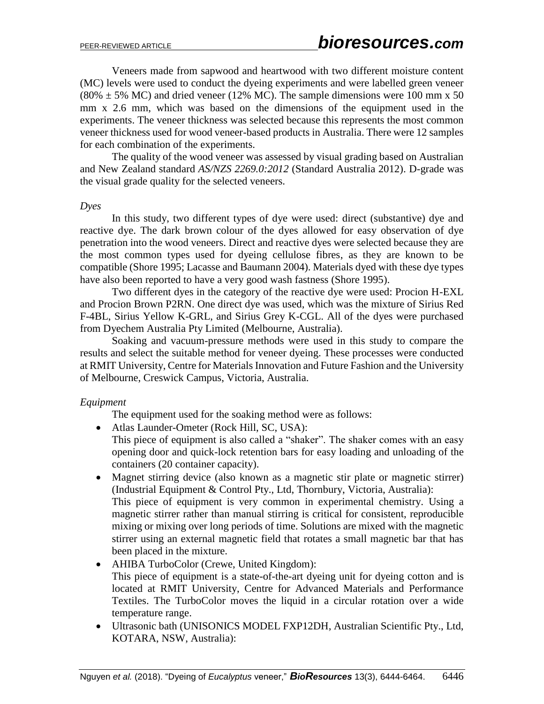Veneers made from sapwood and heartwood with two different moisture content (MC) levels were used to conduct the dyeing experiments and were labelled green veneer  $(80\% \pm 5\% \text{ MC})$  and dried veneer (12% MC). The sample dimensions were 100 mm x 50 mm x 2.6 mm, which was based on the dimensions of the equipment used in the experiments. The veneer thickness was selected because this represents the most common veneer thickness used for wood veneer-based products in Australia. There were 12 samples for each combination of the experiments.

The quality of the wood veneer was assessed by visual grading based on Australian and New Zealand standard *AS/NZS 2269.0:2012* (Standard Australia 2012). D-grade was the visual grade quality for the selected veneers.

### *Dyes*

In this study, two different types of dye were used: direct (substantive) dye and reactive dye. The dark brown colour of the dyes allowed for easy observation of dye penetration into the wood veneers. Direct and reactive dyes were selected because they are the most common types used for dyeing cellulose fibres, as they are known to be compatible (Shore 1995; Lacasse and Baumann 2004). Materials dyed with these dye types have also been reported to have a very good wash fastness (Shore 1995).

Two different dyes in the category of the reactive dye were used: Procion H-EXL and Procion Brown P2RN. One direct dye was used, which was the mixture of Sirius Red F-4BL, Sirius Yellow K-GRL, and Sirius Grey K-CGL. All of the dyes were purchased from Dyechem Australia Pty Limited (Melbourne, Australia).

Soaking and vacuum-pressure methods were used in this study to compare the results and select the suitable method for veneer dyeing. These processes were conducted at RMIT University, Centre for Materials Innovation and Future Fashion and the University of Melbourne, Creswick Campus, Victoria, Australia.

### *Equipment*

The equipment used for the soaking method were as follows:

- Atlas Launder-Ometer (Rock Hill, SC, USA):
- This piece of equipment is also called a "shaker". The shaker comes with an easy opening door and quick-lock retention bars for easy loading and unloading of the containers (20 container capacity).
- Magnet stirring device (also known as a magnetic stir plate or magnetic stirrer) (Industrial Equipment & Control Pty., Ltd, Thornbury, Victoria, Australia): This piece of equipment is very common in experimental chemistry. Using a magnetic stirrer rather than manual stirring is critical for consistent, reproducible mixing or mixing over long periods of time. Solutions are mixed with the magnetic stirrer using an external magnetic field that rotates a small magnetic bar that has been placed in the mixture.
- AHIBA TurboColor (Crewe, United Kingdom): This piece of equipment is a state-of-the-art dyeing unit for dyeing cotton and is located at RMIT University, Centre for Advanced Materials and Performance Textiles. The TurboColor moves the liquid in a circular rotation over a wide temperature range.
- Ultrasonic bath (UNISONICS MODEL FXP12DH, Australian Scientific Pty., Ltd, KOTARA, NSW, Australia):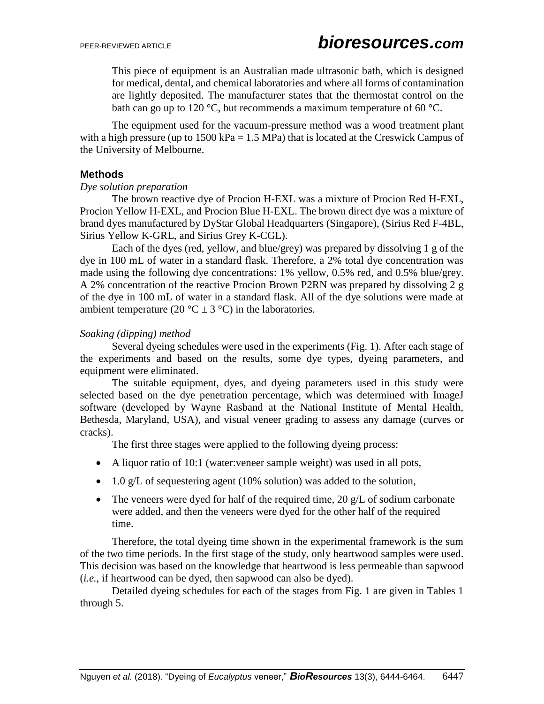This piece of equipment is an Australian made ultrasonic bath, which is designed for medical, dental, and chemical laboratories and where all forms of contamination are lightly deposited. The manufacturer states that the thermostat control on the bath can go up to 120 °C, but recommends a maximum temperature of 60 °C.

The equipment used for the vacuum-pressure method was a wood treatment plant with a high pressure (up to  $1500 \text{ kPa} = 1.5 \text{ MPa}$ ) that is located at the Creswick Campus of the University of Melbourne.

### **Methods**

### *Dye solution preparation*

The brown reactive dye of Procion H-EXL was a mixture of Procion Red H-EXL, Procion Yellow H-EXL, and Procion Blue H-EXL. The brown direct dye was a mixture of brand dyes manufactured by DyStar Global Headquarters (Singapore), (Sirius Red F-4BL, Sirius Yellow K-GRL, and Sirius Grey K-CGL).

Each of the dyes (red, yellow, and blue/grey) was prepared by dissolving 1 g of the dye in 100 mL of water in a standard flask. Therefore, a 2% total dye concentration was made using the following dye concentrations: 1% yellow, 0.5% red, and 0.5% blue/grey. A 2% concentration of the reactive Procion Brown P2RN was prepared by dissolving 2 g of the dye in 100 mL of water in a standard flask. All of the dye solutions were made at ambient temperature (20 °C  $\pm$  3 °C) in the laboratories.

### *Soaking (dipping) method*

Several dyeing schedules were used in the experiments (Fig. 1). After each stage of the experiments and based on the results, some dye types, dyeing parameters, and equipment were eliminated.

The suitable equipment, dyes, and dyeing parameters used in this study were selected based on the dye penetration percentage, which was determined with ImageJ software (developed by Wayne Rasband at the National Institute of Mental Health, Bethesda, Maryland, USA), and visual veneer grading to assess any damage (curves or cracks).

The first three stages were applied to the following dyeing process:

- A liquor ratio of 10:1 (water:veneer sample weight) was used in all pots,
- $\bullet$  1.0 g/L of sequestering agent (10% solution) was added to the solution,
- The veneers were dyed for half of the required time, 20  $g/L$  of sodium carbonate were added, and then the veneers were dyed for the other half of the required time.

Therefore, the total dyeing time shown in the experimental framework is the sum of the two time periods. In the first stage of the study, only heartwood samples were used. This decision was based on the knowledge that heartwood is less permeable than sapwood (*i.e.*, if heartwood can be dyed, then sapwood can also be dyed).

Detailed dyeing schedules for each of the stages from Fig. 1 are given in Tables 1 through 5.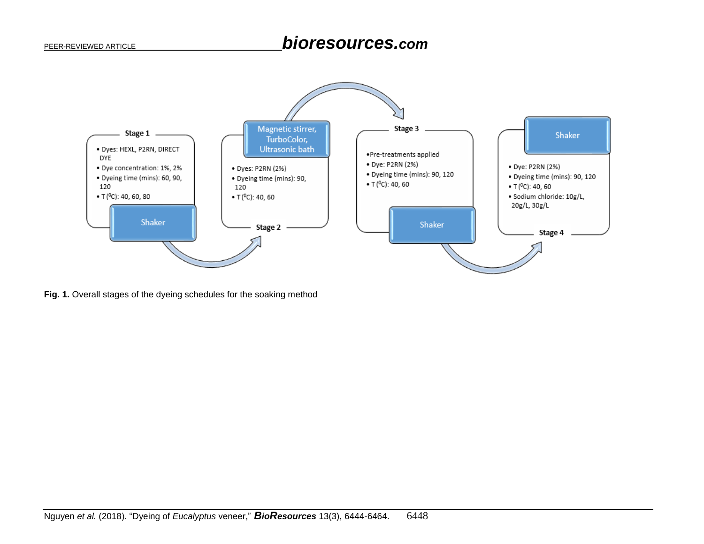# PEER-REVIEWED ARTICLE *bioresources.com*



**Fig. 1.** Overall stages of the dyeing schedules for the soaking method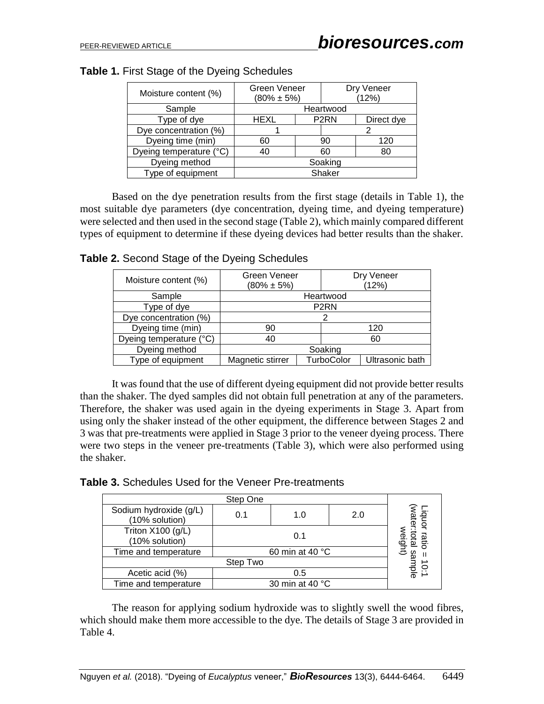| Moisture content (%)    | <b>Green Veneer</b><br>$(80\% \pm 5\%)$ |    |            | Dry Veneer<br>(12%) |
|-------------------------|-----------------------------------------|----|------------|---------------------|
| Sample                  | Heartwood                               |    |            |                     |
| Type of dye             | P <sub>2RN</sub><br><b>HEXL</b>         |    | Direct dye |                     |
| Dye concentration (%)   |                                         |    |            |                     |
| Dyeing time (min)       | 60                                      |    | 90         | 120                 |
| Dyeing temperature (°C) | 40                                      | 60 |            | 80                  |
| Dyeing method           | Soaking                                 |    |            |                     |
| Type of equipment       | Shaker                                  |    |            |                     |
|                         |                                         |    |            |                     |

### **Table 1.** First Stage of the Dyeing Schedules

Based on the dye penetration results from the first stage (details in Table 1), the most suitable dye parameters (dye concentration, dyeing time, and dyeing temperature) were selected and then used in the second stage (Table 2), which mainly compared different types of equipment to determine if these dyeing devices had better results than the shaker.

**Table 2.** Second Stage of the Dyeing Schedules

| Moisture content (%)    | Green Veneer<br>$(80\% \pm 5\%)$ | Dry Veneer<br>(12%) |                 |  |  |
|-------------------------|----------------------------------|---------------------|-----------------|--|--|
| Sample                  | Heartwood                        |                     |                 |  |  |
| Type of dye             | P <sub>2</sub> RN                |                     |                 |  |  |
| Dye concentration (%)   |                                  |                     |                 |  |  |
| Dyeing time (min)       | 90<br>120                        |                     |                 |  |  |
| Dyeing temperature (°C) | 60<br>40                         |                     |                 |  |  |
| Dyeing method           | Soaking                          |                     |                 |  |  |
| Type of equipment       | Magnetic stirrer                 | TurboColor          | Ultrasonic bath |  |  |

It was found that the use of different dyeing equipment did not provide better results than the shaker. The dyed samples did not obtain full penetration at any of the parameters. Therefore, the shaker was used again in the dyeing experiments in Stage 3. Apart from using only the shaker instead of the other equipment, the difference between Stages 2 and 3 was that pre-treatments were applied in Stage 3 prior to the veneer dyeing process. There were two steps in the veneer pre-treatments (Table 3), which were also performed using the shaker.

|  |  | Table 3. Schedules Used for the Veneer Pre-treatments |
|--|--|-------------------------------------------------------|
|--|--|-------------------------------------------------------|

| Sodium hydroxide (g/L)<br>(10% solution) | 0.1             | iquoi<br>vater           |  |           |
|------------------------------------------|-----------------|--------------------------|--|-----------|
| Triton X100 (g/L)<br>(10% solution)      |                 |                          |  |           |
| Time and temperature                     | 60 min at 40 °C | ight)<br>δã              |  |           |
|                                          | Step Two        |                          |  | ਼ੋ        |
| Acetic acid (%)                          | 0.5             |                          |  | mple<br>o |
| Time and temperature                     |                 | 30 min at 40 $\degree$ C |  |           |

The reason for applying sodium hydroxide was to slightly swell the wood fibres, which should make them more accessible to the dye. The details of Stage 3 are provided in Table 4.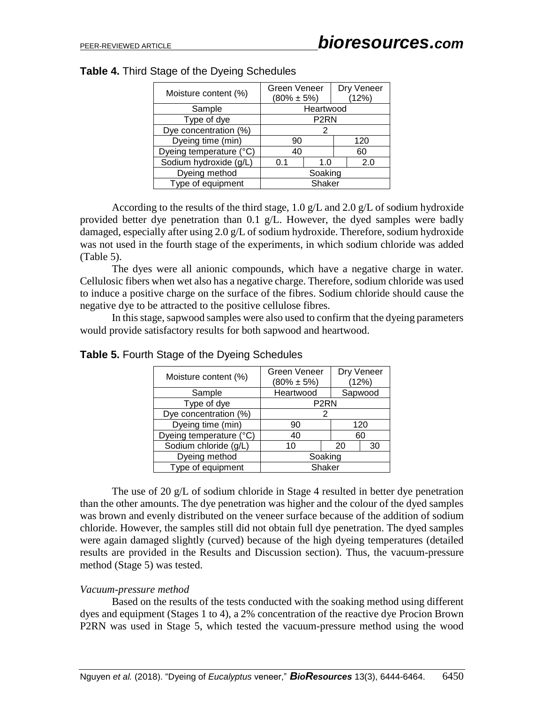| Moisture content (%)    | <b>Green Veneer</b> |           |  | Dry Veneer |
|-------------------------|---------------------|-----------|--|------------|
|                         | $(80\% \pm 5\%)$    |           |  | (12%)      |
| Sample                  |                     | Heartwood |  |            |
| Type of dye             | P <sub>2RN</sub>    |           |  |            |
| Dye concentration (%)   | 2                   |           |  |            |
| Dyeing time (min)       | 90                  |           |  | 120        |
| Dyeing temperature (°C) | 40<br>60            |           |  |            |
| Sodium hydroxide (g/L)  | 1.0<br>0.1          |           |  | 2.0        |
| Dyeing method           | Soaking             |           |  |            |
| Type of equipment       | Shaker              |           |  |            |
|                         |                     |           |  |            |

|  | Table 4. Third Stage of the Dyeing Schedules |  |  |  |
|--|----------------------------------------------|--|--|--|
|--|----------------------------------------------|--|--|--|

According to the results of the third stage, 1.0  $g/L$  and 2.0  $g/L$  of sodium hydroxide provided better dye penetration than 0.1 g/L. However, the dyed samples were badly damaged, especially after using 2.0 g/L of sodium hydroxide. Therefore, sodium hydroxide was not used in the fourth stage of the experiments, in which sodium chloride was added (Table 5).

The dyes were all anionic compounds, which have a negative charge in water. Cellulosic fibers when wet also has a negative charge. Therefore, sodium chloride was used to induce a positive charge on the surface of the fibres. Sodium chloride should cause the negative dye to be attracted to the positive cellulose fibres.

In this stage, sapwood samples were also used to confirm that the dyeing parameters would provide satisfactory results for both sapwood and heartwood.

| Moisture content (%)    | <b>Green Veneer</b><br>$(80\% \pm 5\%)$ | Dry Veneer<br>(12%) |    |  |
|-------------------------|-----------------------------------------|---------------------|----|--|
| Sample                  | Sapwood<br>Heartwood                    |                     |    |  |
| Type of dye             | P <sub>2</sub> RN                       |                     |    |  |
| Dye concentration (%)   | 2                                       |                     |    |  |
| Dyeing time (min)       | 120<br>90                               |                     |    |  |
| Dyeing temperature (°C) | 40<br>60                                |                     |    |  |
| Sodium chloride (g/L)   | 20<br>10                                |                     | 30 |  |
| Dyeing method           | Soaking                                 |                     |    |  |
| Type of equipment       | Shaker                                  |                     |    |  |

**Table 5.** Fourth Stage of the Dyeing Schedules

The use of 20 g/L of sodium chloride in Stage 4 resulted in better dye penetration than the other amounts. The dye penetration was higher and the colour of the dyed samples was brown and evenly distributed on the veneer surface because of the addition of sodium chloride. However, the samples still did not obtain full dye penetration. The dyed samples were again damaged slightly (curved) because of the high dyeing temperatures (detailed results are provided in the Results and Discussion section). Thus, the vacuum-pressure method (Stage 5) was tested.

### *Vacuum-pressure method*

Based on the results of the tests conducted with the soaking method using different dyes and equipment (Stages 1 to 4), a 2% concentration of the reactive dye Procion Brown P2RN was used in Stage 5, which tested the vacuum-pressure method using the wood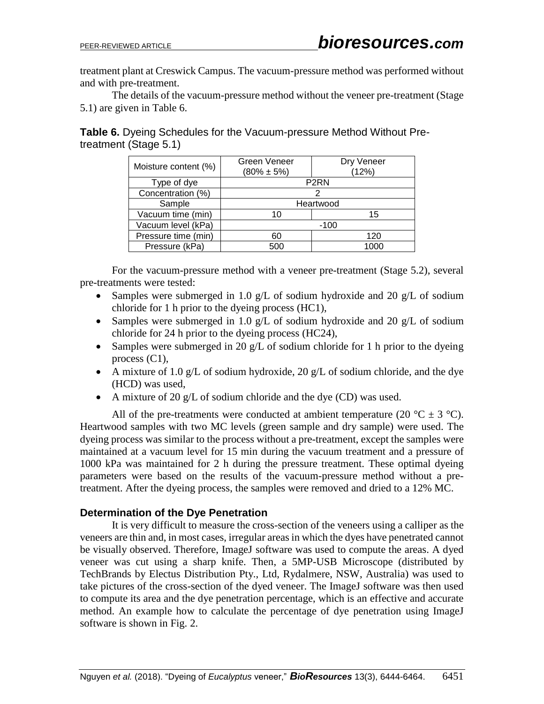treatment plant at Creswick Campus. The vacuum-pressure method was performed without and with pre-treatment.

The details of the vacuum-pressure method without the veneer pre-treatment (Stage 5.1) are given in Table 6.

**Table 6.** Dyeing Schedules for the Vacuum-pressure Method Without Pretreatment (Stage 5.1)

| Moisture content (%) | Green Veneer<br>$(80\% \pm 5\%)$ | Dry Veneer<br>(12%) |  |  |  |
|----------------------|----------------------------------|---------------------|--|--|--|
| Type of dye          | P <sub>2</sub> RN                |                     |  |  |  |
| Concentration (%)    |                                  |                     |  |  |  |
| Sample               | Heartwood                        |                     |  |  |  |
| Vacuum time (min)    | 10<br>15                         |                     |  |  |  |
| Vacuum level (kPa)   | $-100$                           |                     |  |  |  |
| Pressure time (min)  | 60<br>120                        |                     |  |  |  |
| Pressure (kPa)       | 500                              | 1000                |  |  |  |

For the vacuum-pressure method with a veneer pre-treatment (Stage 5.2), several pre-treatments were tested:

- Samples were submerged in 1.0 g/L of sodium hydroxide and 20 g/L of sodium chloride for 1 h prior to the dyeing process (HC1),
- Samples were submerged in 1.0 g/L of sodium hydroxide and 20 g/L of sodium chloride for 24 h prior to the dyeing process (HC24),
- Samples were submerged in 20  $g/L$  of sodium chloride for 1 h prior to the dyeing process (C1),
- A mixture of 1.0 g/L of sodium hydroxide, 20 g/L of sodium chloride, and the dye (HCD) was used,
- A mixture of 20 g/L of sodium chloride and the dye (CD) was used.

All of the pre-treatments were conducted at ambient temperature (20  $^{\circ}$ C  $\pm$  3  $^{\circ}$ C). Heartwood samples with two MC levels (green sample and dry sample) were used. The dyeing process was similar to the process without a pre-treatment, except the samples were maintained at a vacuum level for 15 min during the vacuum treatment and a pressure of 1000 kPa was maintained for 2 h during the pressure treatment. These optimal dyeing parameters were based on the results of the vacuum-pressure method without a pretreatment. After the dyeing process, the samples were removed and dried to a 12% MC.

### **Determination of the Dye Penetration**

It is very difficult to measure the cross-section of the veneers using a calliper as the veneers are thin and, in most cases, irregular areas in which the dyes have penetrated cannot be visually observed. Therefore, ImageJ software was used to compute the areas. A dyed veneer was cut using a sharp knife. Then, a 5MP-USB Microscope (distributed by TechBrands by Electus Distribution Pty., Ltd, Rydalmere, NSW, Australia) was used to take pictures of the cross-section of the dyed veneer. The ImageJ software was then used to compute its area and the dye penetration percentage, which is an effective and accurate method. An example how to calculate the percentage of dye penetration using ImageJ software is shown in Fig. 2.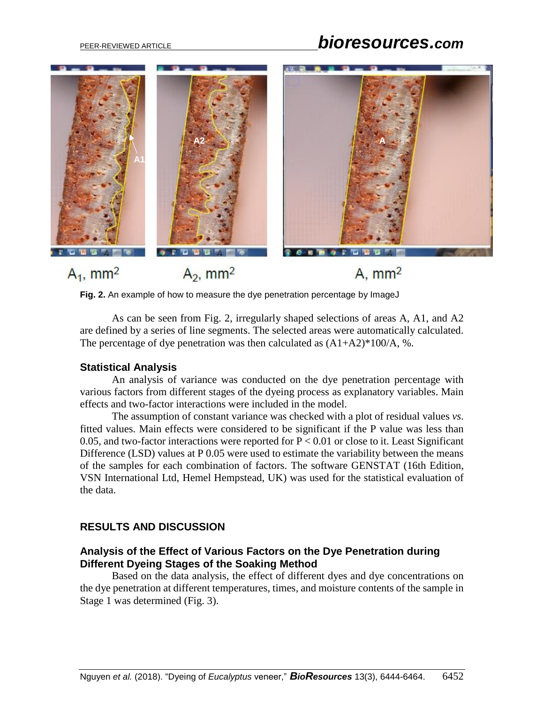## PEER-REVIEWED ARTICLE *bioresources.com*



**Fig. 2.** An example of how to measure the dye penetration percentage by ImageJ

As can be seen from Fig. 2, irregularly shaped selections of areas A, A1, and A2 are defined by a series of line segments. The selected areas were automatically calculated. The percentage of dye penetration was then calculated as  $(A1+A2)*100/A$ , %.

### **Statistical Analysis**

An analysis of variance was conducted on the dye penetration percentage with various factors from different stages of the dyeing process as explanatory variables. Main effects and two-factor interactions were included in the model.

The assumption of constant variance was checked with a plot of residual values *vs*. fitted values. Main effects were considered to be significant if the P value was less than 0.05, and two-factor interactions were reported for  $P < 0.01$  or close to it. Least Significant Difference (LSD) values at P 0.05 were used to estimate the variability between the means of the samples for each combination of factors. The software GENSTAT (16th Edition, VSN International Ltd, Hemel Hempstead, UK) was used for the statistical evaluation of the data.

### **RESULTS AND DISCUSSION**

### **Analysis of the Effect of Various Factors on the Dye Penetration during Different Dyeing Stages of the Soaking Method**

Based on the data analysis, the effect of different dyes and dye concentrations on the dye penetration at different temperatures, times, and moisture contents of the sample in Stage 1 was determined (Fig. 3).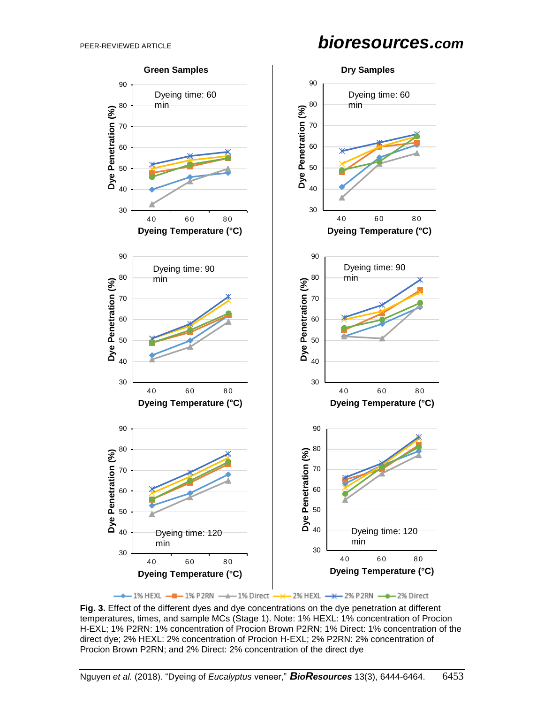# PEER-REVIEWED ARTICLE *bioresources.com*



- 1% HEXL - - 1% P2RN - - 1% Direct - > (- 2% HEXL - + 2% P2RN - - - 2% Direct

**Fig. 3.** Effect of the different dyes and dye concentrations on the dye penetration at different temperatures, times, and sample MCs (Stage 1). Note: 1% HEXL: 1% concentration of Procion H-EXL; 1% P2RN: 1% concentration of Procion Brown P2RN; 1% Direct: 1% concentration of the direct dye; 2% HEXL: 2% concentration of Procion H-EXL; 2% P2RN: 2% concentration of Procion Brown P2RN; and 2% Direct: 2% concentration of the direct dye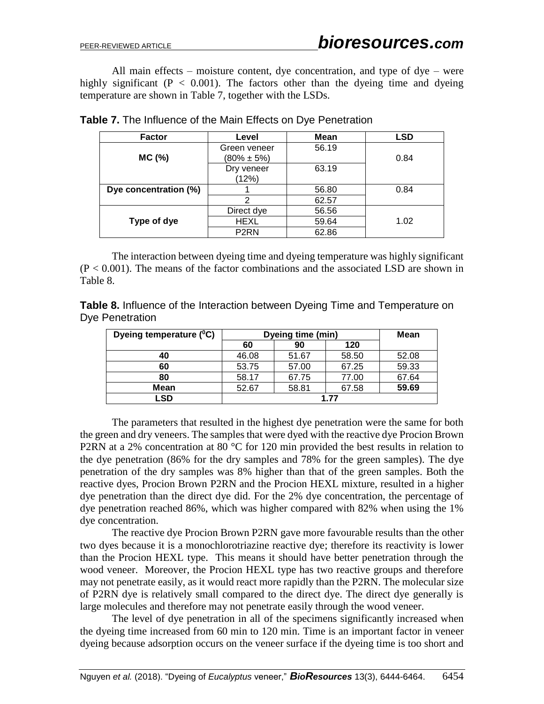All main effects – moisture content, dye concentration, and type of dye – were highly significant ( $P < 0.001$ ). The factors other than the dyeing time and dyeing temperature are shown in Table 7, together with the LSDs.

| <b>Factor</b>         | Level                            | Mean  | <b>LSD</b> |
|-----------------------|----------------------------------|-------|------------|
| MC(%)                 | Green veneer<br>$(80\% \pm 5\%)$ | 56.19 |            |
|                       | Dry veneer<br>(12%)              | 63.19 |            |
| Dye concentration (%) |                                  | 56.80 | 0.84       |
|                       | $\overline{2}$                   | 62.57 |            |
|                       | Direct dye                       | 56.56 |            |
| Type of dye           | <b>HEXL</b>                      | 59.64 | 1.02       |
|                       | P <sub>2</sub> RN                | 62.86 |            |

The interaction between dyeing time and dyeing temperature was highly significant  $(P < 0.001)$ . The means of the factor combinations and the associated LSD are shown in Table 8.

**Table 8.** Influence of the Interaction between Dyeing Time and Temperature on Dye Penetration

| Dyeing temperature ( <sup>o</sup> C) | Dyeing time (min) | Mean  |       |       |  |
|--------------------------------------|-------------------|-------|-------|-------|--|
|                                      | 60                | 90    | 120   |       |  |
| 40                                   | 46.08             | 51.67 | 58.50 | 52.08 |  |
| 60                                   | 53.75             | 57.00 | 67.25 | 59.33 |  |
| 80                                   | 58.17             | 67.75 | 77.00 | 67.64 |  |
| Mean                                 | 52.67             | 58.81 | 67.58 | 59.69 |  |
| <b>LSD</b>                           | 1.77              |       |       |       |  |

The parameters that resulted in the highest dye penetration were the same for both the green and dry veneers. The samples that were dyed with the reactive dye Procion Brown P2RN at a 2% concentration at 80 °C for 120 min provided the best results in relation to the dye penetration (86% for the dry samples and 78% for the green samples). The dye penetration of the dry samples was 8% higher than that of the green samples. Both the reactive dyes, Procion Brown P2RN and the Procion HEXL mixture, resulted in a higher dye penetration than the direct dye did. For the 2% dye concentration, the percentage of dye penetration reached 86%, which was higher compared with 82% when using the 1% dye concentration.

The reactive dye Procion Brown P2RN gave more favourable results than the other two dyes because it is a monochlorotriazine reactive dye; therefore its reactivity is lower than the Procion HEXL type. This means it should have better penetration through the wood veneer. Moreover, the Procion HEXL type has two reactive groups and therefore may not penetrate easily, as it would react more rapidly than the P2RN. The molecular size of P2RN dye is relatively small compared to the direct dye. The direct dye generally is large molecules and therefore may not penetrate easily through the wood veneer.

The level of dye penetration in all of the specimens significantly increased when the dyeing time increased from 60 min to 120 min. Time is an important factor in veneer dyeing because adsorption occurs on the veneer surface if the dyeing time is too short and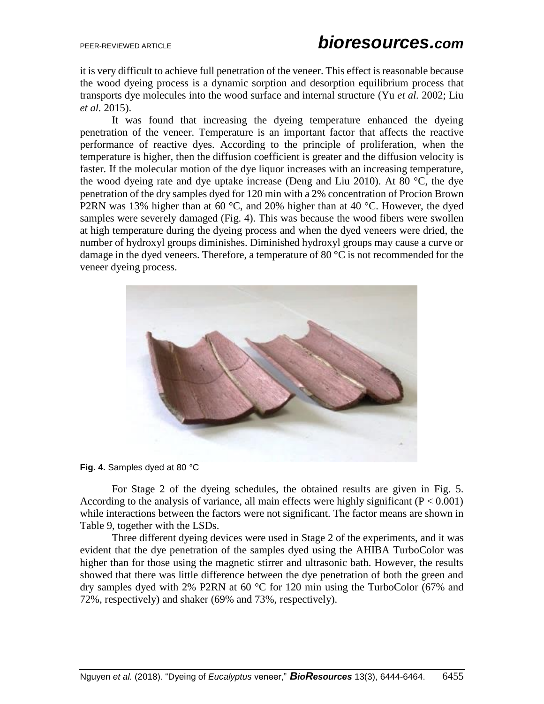it is very difficult to achieve full penetration of the veneer. This effect is reasonable because the wood dyeing process is a dynamic sorption and desorption equilibrium process that transports dye molecules into the wood surface and internal structure (Yu *et al.* 2002; Liu *et al.* 2015).

It was found that increasing the dyeing temperature enhanced the dyeing penetration of the veneer. Temperature is an important factor that affects the reactive performance of reactive dyes. According to the principle of proliferation, when the temperature is higher, then the diffusion coefficient is greater and the diffusion velocity is faster. If the molecular motion of the dye liquor increases with an increasing temperature, the wood dyeing rate and dye uptake increase (Deng and Liu 2010). At 80 °C, the dye penetration of the dry samples dyed for 120 min with a 2% concentration of Procion Brown P2RN was 13% higher than at 60 °C, and 20% higher than at 40 °C. However, the dyed samples were severely damaged (Fig. 4). This was because the wood fibers were swollen at high temperature during the dyeing process and when the dyed veneers were dried, the number of hydroxyl groups diminishes. Diminished hydroxyl groups may cause a curve or damage in the dyed veneers. Therefore, a temperature of 80 °C is not recommended for the veneer dyeing process.



**Fig. 4.** Samples dyed at 80 °C

For Stage 2 of the dyeing schedules, the obtained results are given in Fig. 5. According to the analysis of variance, all main effects were highly significant  $(P < 0.001)$ while interactions between the factors were not significant. The factor means are shown in Table 9, together with the LSDs.

Three different dyeing devices were used in Stage 2 of the experiments, and it was evident that the dye penetration of the samples dyed using the AHIBA TurboColor was higher than for those using the magnetic stirrer and ultrasonic bath. However, the results showed that there was little difference between the dye penetration of both the green and dry samples dyed with 2% P2RN at 60 °C for 120 min using the TurboColor (67% and 72%, respectively) and shaker (69% and 73%, respectively).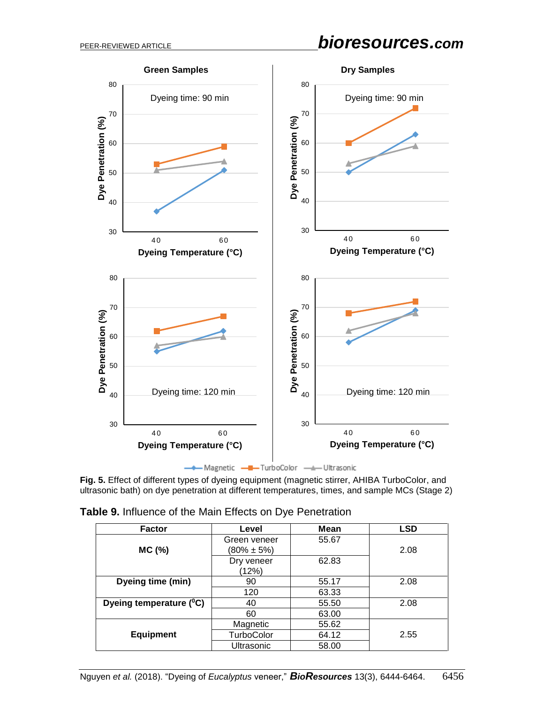# PEER-REVIEWED ARTICLE *bioresources.com*



**Fig. 5.** Effect of different types of dyeing equipment (magnetic stirrer, AHIBA TurboColor, and ultrasonic bath) on dye penetration at different temperatures, times, and sample MCs (Stage 2)

|  |  |  |  |  |  | Table 9. Influence of the Main Effects on Dye Penetration |
|--|--|--|--|--|--|-----------------------------------------------------------|
|--|--|--|--|--|--|-----------------------------------------------------------|

| <b>Factor</b>           | Level            | <b>Mean</b> | LSD  |
|-------------------------|------------------|-------------|------|
|                         | Green veneer     | 55.67       |      |
| MC(%)                   | $(80\% \pm 5\%)$ |             | 2.08 |
|                         | Dry veneer       | 62.83       |      |
|                         | (12%)            |             |      |
| Dyeing time (min)       | 90               | 55.17       | 2.08 |
|                         | 120              | 63.33       |      |
| Dyeing temperature (°C) | 40               | 55.50       | 2.08 |
|                         | 60               | 63.00       |      |
|                         | Magnetic         | 55.62       |      |
| <b>Equipment</b>        | TurboColor       | 64.12       | 2.55 |
|                         | Ultrasonic       | 58.00       |      |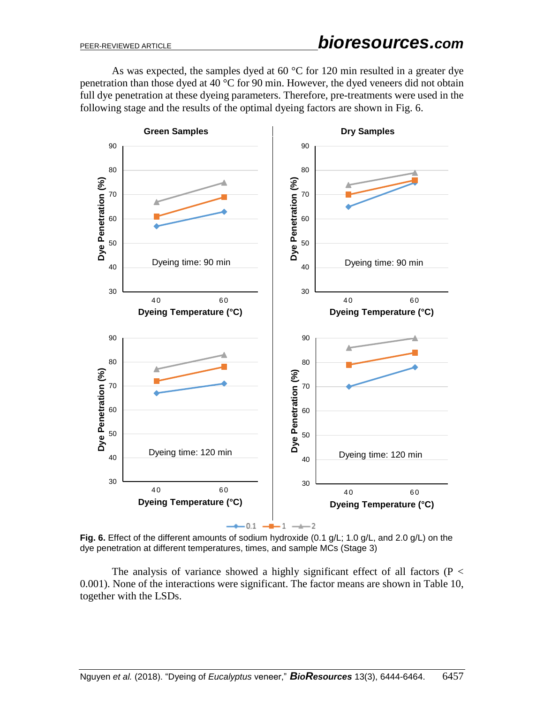As was expected, the samples dyed at  $60^{\circ}$ C for 120 min resulted in a greater dye penetration than those dyed at 40 °C for 90 min. However, the dyed veneers did not obtain full dye penetration at these dyeing parameters. Therefore, pre-treatments were used in the following stage and the results of the optimal dyeing factors are shown in Fig. 6.



**Fig. 6.** Effect of the different amounts of sodium hydroxide (0.1 g/L; 1.0 g/L, and 2.0 g/L) on the dye penetration at different temperatures, times, and sample MCs (Stage 3)

The analysis of variance showed a highly significant effect of all factors ( $P <$ 0.001). None of the interactions were significant. The factor means are shown in Table 10, together with the LSDs.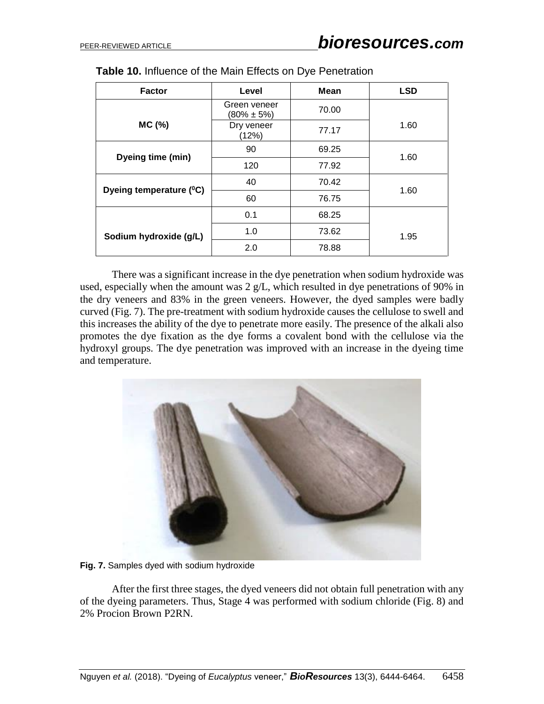| <b>Factor</b>           | Level                            | <b>Mean</b> | <b>LSD</b> |
|-------------------------|----------------------------------|-------------|------------|
|                         | Green veneer<br>$(80\% \pm 5\%)$ | 70.00       |            |
| MC(%)                   | Dry veneer<br>(12%)              | 77.17       | 1.60       |
|                         | 90                               | 69.25       | 1.60       |
| Dyeing time (min)       | 120                              | 77.92       |            |
| Dyeing temperature (°C) | 40                               | 70.42       | 1.60       |
|                         | 60                               | 76.75       |            |
|                         | 0.1                              | 68.25       |            |
| Sodium hydroxide (g/L)  | 1.0                              | 73.62       | 1.95       |
|                         | 2.0                              | 78.88       |            |

**Table 10.** Influence of the Main Effects on Dye Penetration

There was a significant increase in the dye penetration when sodium hydroxide was used, especially when the amount was 2 g/L, which resulted in dye penetrations of 90% in the dry veneers and 83% in the green veneers. However, the dyed samples were badly curved (Fig. 7). The pre-treatment with sodium hydroxide causes the cellulose to swell and this increases the ability of the dye to penetrate more easily. The presence of the alkali also promotes the dye fixation as the dye forms a covalent bond with the cellulose via the hydroxyl groups. The dye penetration was improved with an increase in the dyeing time and temperature.



**Fig. 7.** Samples dyed with sodium hydroxide

After the first three stages, the dyed veneers did not obtain full penetration with any of the dyeing parameters. Thus, Stage 4 was performed with sodium chloride (Fig. 8) and 2% Procion Brown P2RN.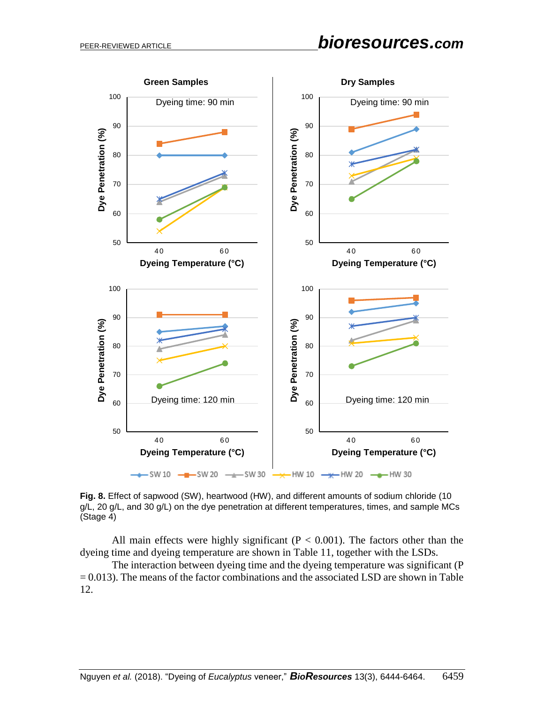

**Fig. 8.** Effect of sapwood (SW), heartwood (HW), and different amounts of sodium chloride (10 g/L, 20 g/L, and 30 g/L) on the dye penetration at different temperatures, times, and sample MCs (Stage 4)

All main effects were highly significant ( $P < 0.001$ ). The factors other than the dyeing time and dyeing temperature are shown in Table 11, together with the LSDs.

The interaction between dyeing time and the dyeing temperature was significant (P  $= 0.013$ ). The means of the factor combinations and the associated LSD are shown in Table 12.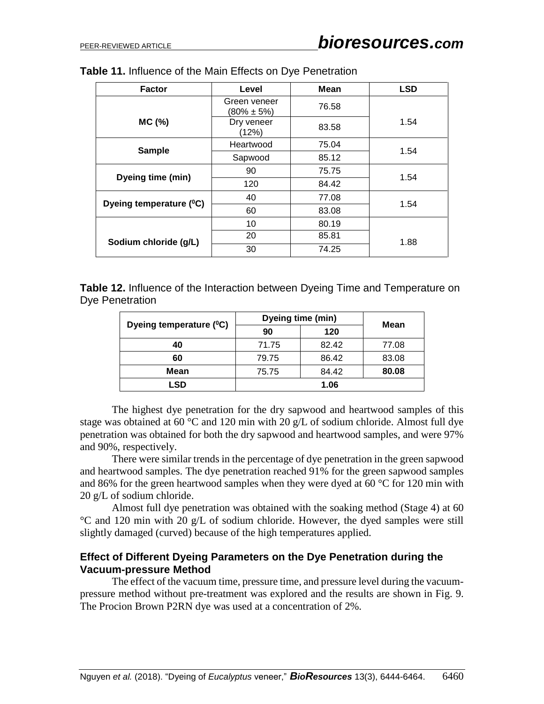| <b>Factor</b>                        | Level                            | <b>Mean</b> | <b>LSD</b> |
|--------------------------------------|----------------------------------|-------------|------------|
|                                      | Green veneer<br>$(80\% \pm 5\%)$ | 76.58       |            |
| MC(%)                                | Dry veneer<br>(12%)              | 83.58       | 1.54       |
| <b>Sample</b>                        | Heartwood                        | 75.04       | 1.54       |
|                                      | Sapwood                          | 85.12       |            |
| Dyeing time (min)                    | 90                               | 75.75       | 1.54       |
|                                      | 120                              | 84.42       |            |
| Dyeing temperature ( <sup>o</sup> C) | 40                               | 77.08       | 1.54       |
|                                      | 60                               | 83.08       |            |
|                                      | 10                               | 80.19       |            |
| Sodium chloride (g/L)                | 20                               | 85.81       | 1.88       |
|                                      | 30                               | 74.25       |            |

### **Table 11.** Influence of the Main Effects on Dye Penetration

**Table 12.** Influence of the Interaction between Dyeing Time and Temperature on Dye Penetration

| Dyeing temperature (°C) | Dyeing time (min) |       | Mean  |
|-------------------------|-------------------|-------|-------|
|                         | 90                | 120   |       |
| 40                      | 71.75             | 82.42 | 77.08 |
| 60                      | 79.75             | 86.42 | 83.08 |
| Mean                    | 75.75             | 84.42 | 80.08 |
| LSD                     | 1.06              |       |       |

The highest dye penetration for the dry sapwood and heartwood samples of this stage was obtained at 60 °C and 120 min with 20  $g/L$  of sodium chloride. Almost full dye penetration was obtained for both the dry sapwood and heartwood samples, and were 97% and 90%, respectively.

There were similar trends in the percentage of dye penetration in the green sapwood and heartwood samples. The dye penetration reached 91% for the green sapwood samples and 86% for the green heartwood samples when they were dyed at 60 °C for 120 min with 20 g/L of sodium chloride.

Almost full dye penetration was obtained with the soaking method (Stage 4) at 60 °C and 120 min with 20 g/L of sodium chloride. However, the dyed samples were still slightly damaged (curved) because of the high temperatures applied.

### **Effect of Different Dyeing Parameters on the Dye Penetration during the Vacuum-pressure Method**

The effect of the vacuum time, pressure time, and pressure level during the vacuumpressure method without pre-treatment was explored and the results are shown in Fig. 9. The Procion Brown P2RN dye was used at a concentration of 2%.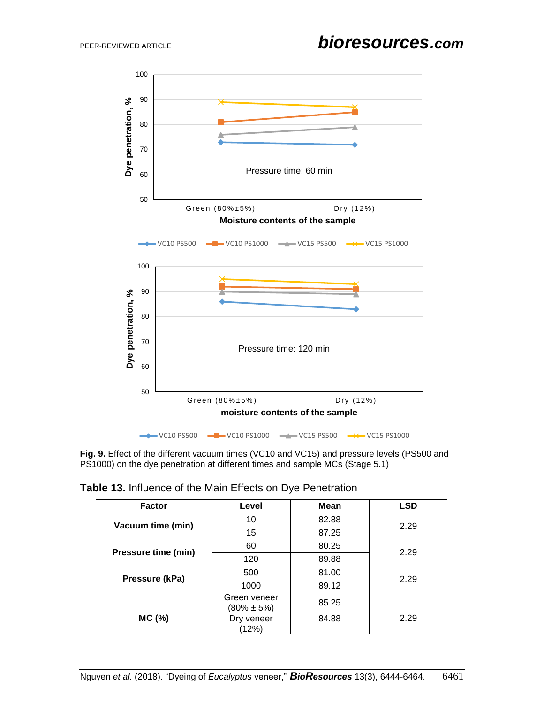

**Fig. 9.** Effect of the different vacuum times (VC10 and VC15) and pressure levels (PS500 and PS1000) on the dye penetration at different times and sample MCs (Stage 5.1)

| Table 13. Influence of the Main Effects on Dye Penetration |
|------------------------------------------------------------|
|------------------------------------------------------------|

| <b>Factor</b>       | Level                            | <b>Mean</b> | <b>LSD</b> |
|---------------------|----------------------------------|-------------|------------|
| Vacuum time (min)   | 10                               | 82.88       | 2.29       |
|                     | 15                               | 87.25       |            |
| Pressure time (min) | 60                               | 80.25       | 2.29       |
|                     | 120                              | 89.88       |            |
| Pressure (kPa)      | 500                              | 81.00       | 2.29       |
|                     | 1000                             | 89.12       |            |
|                     | Green veneer<br>$(80\% \pm 5\%)$ | 85.25       |            |
| MC (%)              | Dry veneer<br>(12%)              | 84.88       | 2.29       |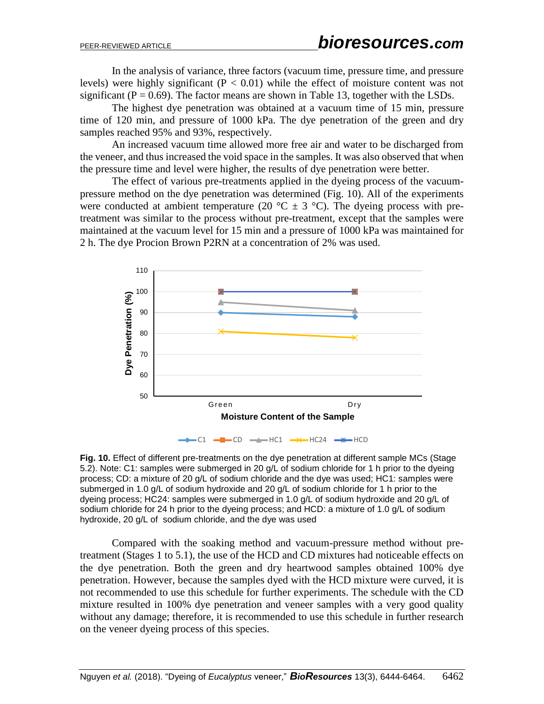In the analysis of variance, three factors (vacuum time, pressure time, and pressure levels) were highly significant ( $P < 0.01$ ) while the effect of moisture content was not significant ( $P = 0.69$ ). The factor means are shown in Table 13, together with the LSDs.

The highest dye penetration was obtained at a vacuum time of 15 min, pressure time of 120 min, and pressure of 1000 kPa. The dye penetration of the green and dry samples reached 95% and 93%, respectively.

An increased vacuum time allowed more free air and water to be discharged from the veneer, and thus increased the void space in the samples. It was also observed that when the pressure time and level were higher, the results of dye penetration were better.

The effect of various pre-treatments applied in the dyeing process of the vacuumpressure method on the dye penetration was determined (Fig. 10). All of the experiments were conducted at ambient temperature (20  $^{\circ}$ C  $\pm$  3  $^{\circ}$ C). The dyeing process with pretreatment was similar to the process without pre-treatment, except that the samples were maintained at the vacuum level for 15 min and a pressure of 1000 kPa was maintained for 2 h. The dye Procion Brown P2RN at a concentration of 2% was used.



**Fig. 10.** Effect of different pre-treatments on the dye penetration at different sample MCs (Stage 5.2). Note: C1: samples were submerged in 20 g/L of sodium chloride for 1 h prior to the dyeing process; CD: a mixture of 20 g/L of sodium chloride and the dye was used; HC1: samples were submerged in 1.0 g/L of sodium hydroxide and 20 g/L of sodium chloride for 1 h prior to the dyeing process; HC24: samples were submerged in 1.0 g/L of sodium hydroxide and 20 g/L of sodium chloride for 24 h prior to the dyeing process; and HCD: a mixture of 1.0 g/L of sodium hydroxide, 20 g/L of sodium chloride, and the dye was used

Compared with the soaking method and vacuum-pressure method without pretreatment (Stages 1 to 5.1), the use of the HCD and CD mixtures had noticeable effects on the dye penetration. Both the green and dry heartwood samples obtained 100% dye penetration. However, because the samples dyed with the HCD mixture were curved, it is not recommended to use this schedule for further experiments. The schedule with the CD mixture resulted in 100% dye penetration and veneer samples with a very good quality without any damage; therefore, it is recommended to use this schedule in further research on the veneer dyeing process of this species.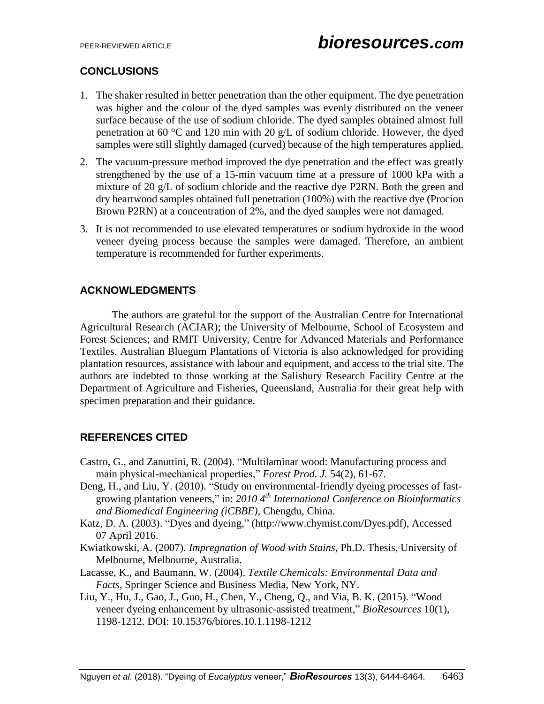## **CONCLUSIONS**

- 1. The shaker resulted in better penetration than the other equipment. The dye penetration was higher and the colour of the dyed samples was evenly distributed on the veneer surface because of the use of sodium chloride. The dyed samples obtained almost full penetration at 60 °C and 120 min with 20 g/L of sodium chloride. However, the dyed samples were still slightly damaged (curved) because of the high temperatures applied.
- 2. The vacuum-pressure method improved the dye penetration and the effect was greatly strengthened by the use of a 15-min vacuum time at a pressure of 1000 kPa with a mixture of 20 g/L of sodium chloride and the reactive dye P2RN. Both the green and dry heartwood samples obtained full penetration (100%) with the reactive dye (Procion Brown P2RN) at a concentration of 2%, and the dyed samples were not damaged.
- 3. It is not recommended to use elevated temperatures or sodium hydroxide in the wood veneer dyeing process because the samples were damaged. Therefore, an ambient temperature is recommended for further experiments.

## **ACKNOWLEDGMENTS**

The authors are grateful for the support of the Australian Centre for International Agricultural Research (ACIAR); the University of Melbourne, School of Ecosystem and Forest Sciences; and RMIT University, Centre for Advanced Materials and Performance Textiles. Australian Bluegum Plantations of Victoria is also acknowledged for providing plantation resources, assistance with labour and equipment, and access to the trial site. The authors are indebted to those working at the Salisbury Research Facility Centre at the Department of Agriculture and Fisheries, Queensland, Australia for their great help with specimen preparation and their guidance.

## **REFERENCES CITED**

- Castro, G., and Zanuttini, R. (2004). "Multilaminar wood: Manufacturing process and main physical-mechanical properties," *Forest Prod. J.* 54(2), 61-67.
- Deng, H., and Liu, Y. (2010). "Study on environmental-friendly dyeing processes of fastgrowing plantation veneers," in: *2010 4th International Conference on Bioinformatics and Biomedical Engineering (iCBBE)*, Chengdu, China.
- Katz, D. A. (2003). "Dyes and dyeing," (http://www.chymist.com/Dyes.pdf), Accessed 07 April 2016.
- Kwiatkowski, A. (2007). *Impregnation of Wood with Stains*, Ph.D. Thesis, University of Melbourne, Melbourne, Australia.
- Lacasse, K., and Baumann, W. (2004). *Textile Chemicals: Environmental Data and Facts*, Springer Science and Business Media, New York, NY.
- Liu, Y., Hu, J., Gao, J., Guo, H., Chen, Y., Cheng, Q., and Via, B. K. (2015). "Wood veneer dyeing enhancement by ultrasonic-assisted treatment," *BioResources* 10(1), 1198-1212. DOI: 10.15376/biores.10.1.1198-1212